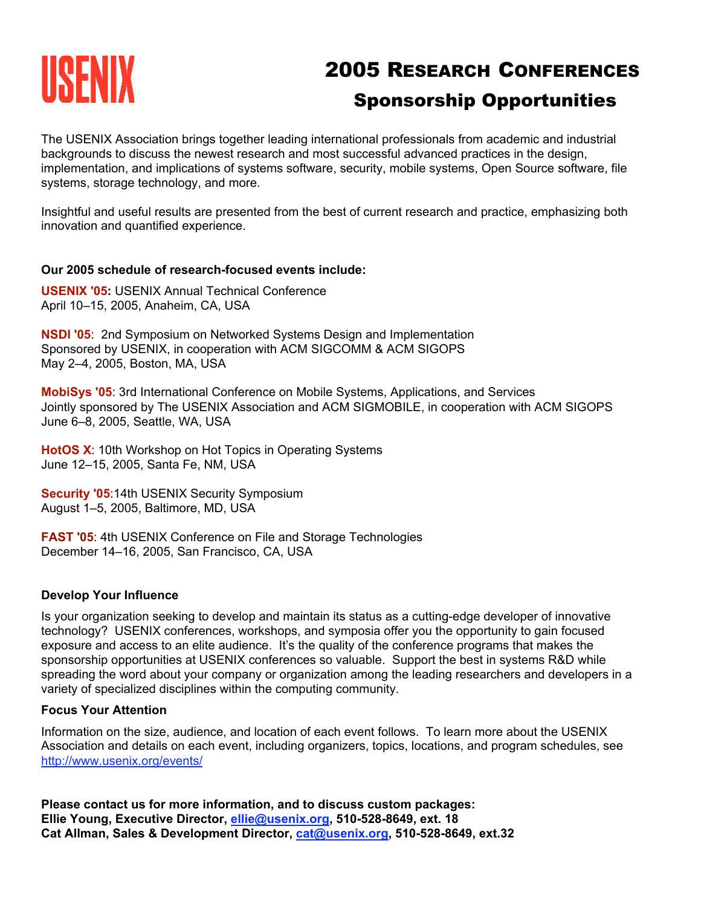# **THE RESEARCH CONFERENCES** Sponsorship Opportunities

The USENIX Association brings together leading international professionals from academic and industrial backgrounds to discuss the newest research and most successful advanced practices in the design, implementation, and implications of systems software, security, mobile systems, Open Source software, file systems, storage technology, and more.

Insightful and useful results are presented from the best of current research and practice, emphasizing both innovation and quantified experience.

### **Our 2005 schedule of research-focused events include:**

**USENIX '05:** USENIX Annual Technical Conference April 10–15, 2005, Anaheim, CA, USA

**NSDI '05**: 2nd Symposium on Networked Systems Design and Implementation Sponsored by USENIX, in cooperation with ACM SIGCOMM & ACM SIGOPS May 2–4, 2005, Boston, MA, USA

**MobiSys '05**: 3rd International Conference on Mobile Systems, Applications, and Services Jointly sponsored by The USENIX Association and ACM SIGMOBILE, in cooperation with ACM SIGOPS June 6–8, 2005, Seattle, WA, USA

**HotOS X**: 10th Workshop on Hot Topics in Operating Systems June 12–15, 2005, Santa Fe, NM, USA

**Security '05:14th USENIX Security Symposium** August 1–5, 2005, Baltimore, MD, USA

**FAST '05**: 4th USENIX Conference on File and Storage Technologies December 14–16, 2005, San Francisco, CA, USA

### **Develop Your Influence**

Is your organization seeking to develop and maintain its status as a cutting-edge developer of innovative technology? USENIX conferences, workshops, and symposia offer you the opportunity to gain focused exposure and access to an elite audience. It's the quality of the conference programs that makes the sponsorship opportunities at USENIX conferences so valuable. Support the best in systems R&D while spreading the word about your company or organization among the leading researchers and developers in a variety of specialized disciplines within the computing community.

### **Focus Your Attention**

Information on the size, audience, and location of each event follows. To learn more about the USENIX Association and details on each event, including organizers, topics, locations, and program schedules, see http://www.usenix.org/events/

**Please contact us for more information, and to discuss custom packages: Ellie Young, Executive Director, ellie@usenix.org, 510-528-8649, ext. 18 Cat Allman, Sales & Development Director, cat@usenix.org, 510-528-8649, ext.32**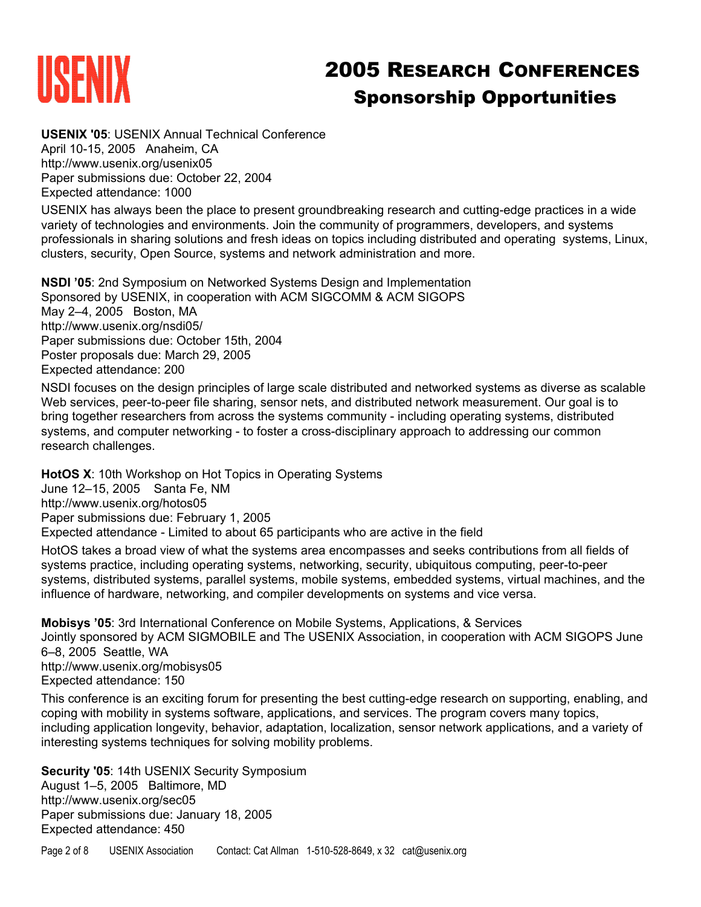

# **THE RESEARCH CONFERENCES**<br> **2005 RESEARCH CONFERENCES** Sponsorship Opportunities

**USENIX '05**: USENIX Annual Technical Conference April 10-15, 2005 Anaheim, CA http://www.usenix.org/usenix05 Paper submissions due: October 22, 2004 Expected attendance: 1000

USENIX has always been the place to present groundbreaking research and cutting-edge practices in a wide variety of technologies and environments. Join the community of programmers, developers, and systems professionals in sharing solutions and fresh ideas on topics including distributed and operating systems, Linux, clusters, security, Open Source, systems and network administration and more.

**NSDI '05**: 2nd Symposium on Networked Systems Design and Implementation Sponsored by USENIX, in cooperation with ACM SIGCOMM & ACM SIGOPS May 2–4, 2005 Boston, MA http://www.usenix.org/nsdi05/ Paper submissions due: October 15th, 2004 Poster proposals due: March 29, 2005 Expected attendance: 200

NSDI focuses on the design principles of large scale distributed and networked systems as diverse as scalable Web services, peer-to-peer file sharing, sensor nets, and distributed network measurement. Our goal is to bring together researchers from across the systems community - including operating systems, distributed systems, and computer networking - to foster a cross-disciplinary approach to addressing our common research challenges.

**HotOS X**: 10th Workshop on Hot Topics in Operating Systems

June 12–15, 2005 Santa Fe, NM

http://www.usenix.org/hotos05

Paper submissions due: February 1, 2005

Expected attendance - Limited to about 65 participants who are active in the field

HotOS takes a broad view of what the systems area encompasses and seeks contributions from all fields of systems practice, including operating systems, networking, security, ubiquitous computing, peer-to-peer systems, distributed systems, parallel systems, mobile systems, embedded systems, virtual machines, and the influence of hardware, networking, and compiler developments on systems and vice versa.

**Mobisys '05**: 3rd International Conference on Mobile Systems, Applications, & Services Jointly sponsored by ACM SIGMOBILE and The USENIX Association, in cooperation with ACM SIGOPS June 6–8, 2005 Seattle, WA http://www.usenix.org/mobisys05 Expected attendance: 150

This conference is an exciting forum for presenting the best cutting-edge research on supporting, enabling, and coping with mobility in systems software, applications, and services. The program covers many topics, including application longevity, behavior, adaptation, localization, sensor network applications, and a variety of interesting systems techniques for solving mobility problems.

**Security '05**: 14th USENIX Security Symposium August 1–5, 2005 Baltimore, MD http://www.usenix.org/sec05 Paper submissions due: January 18, 2005 Expected attendance: 450

Page 2 of 8 USENIX Association Contact: Cat Allman 1-510-528-8649, x 32 cat@usenix.org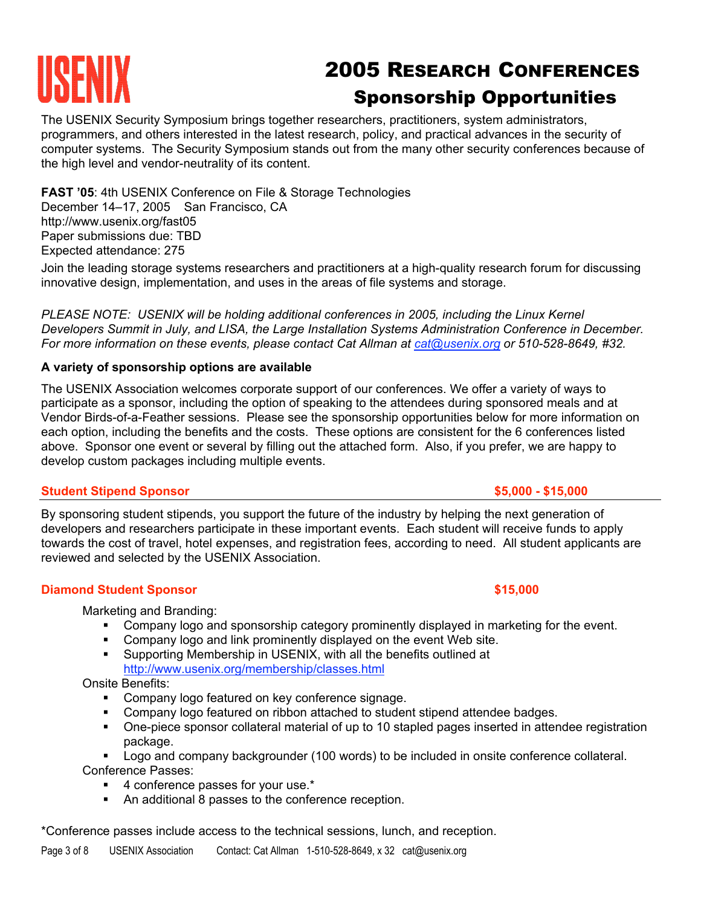# 2005 RESEARCH CONFERENCES Sponsorship Opportunities

The USENIX Security Symposium brings together researchers, practitioners, system administrators, programmers, and others interested in the latest research, policy, and practical advances in the security of computer systems. The Security Symposium stands out from the many other security conferences because of the high level and vendor-neutrality of its content.

**FAST '05**: 4th USENIX Conference on File & Storage Technologies December 14-17, 2005 San Francisco, CA http://www.usenix.org/fast05 Paper submissions due: TBD Expected attendance: 275

Join the leading storage systems researchers and practitioners at a high-quality research forum for discussing innovative design, implementation, and uses in the areas of file systems and storage.

*PLEASE NOTE: USENIX will be holding additional conferences in 2005, including the Linux Kernel Developers Summit in July, and LISA, the Large Installation Systems Administration Conference in December. For more information on these events, please contact Cat Allman at cat@usenix.org or 510-528-8649, #32.*

# **A variety of sponsorship options are available**

The USENIX Association welcomes corporate support of our conferences. We offer a variety of ways to participate as a sponsor, including the option of speaking to the attendees during sponsored meals and at Vendor Birds-of-a-Feather sessions. Please see the sponsorship opportunities below for more information on each option, including the benefits and the costs. These options are consistent for the 6 conferences listed above. Sponsor one event or several by filling out the attached form. Also, if you prefer, we are happy to develop custom packages including multiple events.

## **Student Stipend Sponsor by a strategies of the strategies of the strategies of**  $$5,000 - $15,000$

By sponsoring student stipends, you support the future of the industry by helping the next generation of developers and researchers participate in these important events. Each student will receive funds to apply towards the cost of travel, hotel expenses, and registration fees, according to need. All student applicants are reviewed and selected by the USENIX Association.

## **Diamond Student Sponsor \$15,000**

Marketing and Branding:

- Company logo and sponsorship category prominently displayed in marketing for the event.
- **Company logo and link prominently displayed on the event Web site.**
- Supporting Membership in USENIX, with all the benefits outlined at http://www.usenix.org/membership/classes.html

Onsite Benefits:

- **Company logo featured on key conference signage.**
- Company logo featured on ribbon attached to student stipend attendee badges.
- One-piece sponsor collateral material of up to 10 stapled pages inserted in attendee registration package.

 Logo and company backgrounder (100 words) to be included in onsite conference collateral. Conference Passes:

- 4 conference passes for your use.<sup>\*</sup>
- An additional 8 passes to the conference reception.

\*Conference passes include access to the technical sessions, lunch, and reception.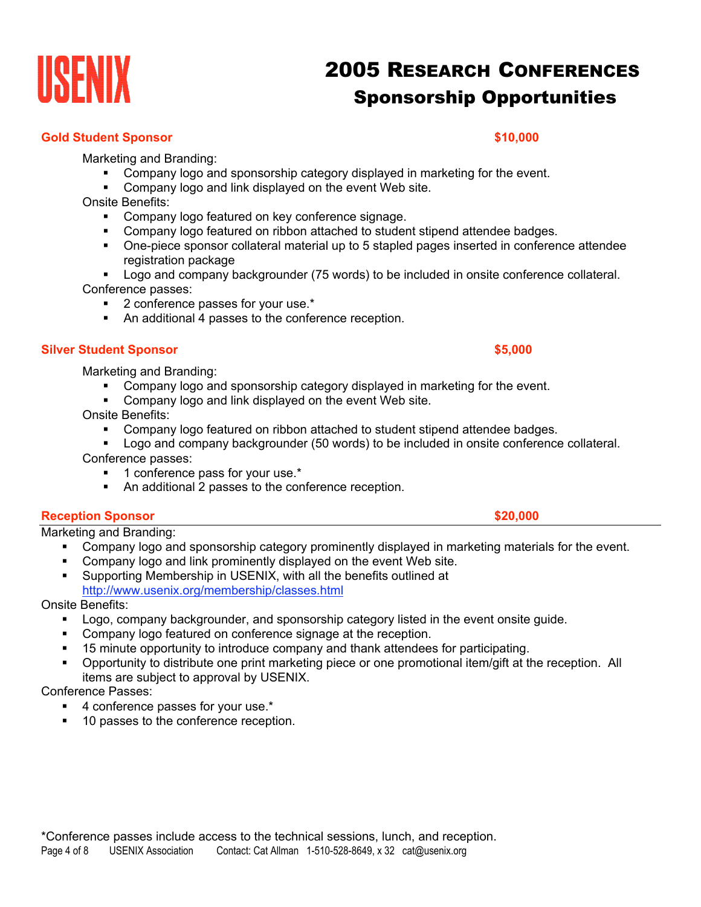# **INSENIX 2005 RESEARCH CONFERENCES** Sponsorship Opportunities

## **Gold Student Sponsor \$10,000**

Marketing and Branding:

- Company logo and sponsorship category displayed in marketing for the event.
- Company logo and link displayed on the event Web site.
- Onsite Benefits:
	- **Company logo featured on key conference signage.**
	- Company logo featured on ribbon attached to student stipend attendee badges.
	- One-piece sponsor collateral material up to 5 stapled pages inserted in conference attendee registration package
- Logo and company backgrounder (75 words) to be included in onsite conference collateral. Conference passes:
	- **2** conference passes for your use.\*
	- An additional 4 passes to the conference reception.

## **Silver Student Sponsor \$5,000**

Marketing and Branding:

- Company logo and sponsorship category displayed in marketing for the event.
- **Company logo and link displayed on the event Web site.**

Onsite Benefits:

- Company logo featured on ribbon attached to student stipend attendee badges.
- **Logo and company backgrounder (50 words) to be included in onsite conference collateral.** Conference passes:
	- **1** conference pass for your use.\*
	- An additional 2 passes to the conference reception.

## **Reception Sponsor \$20,000**

Marketing and Branding:

- Company logo and sponsorship category prominently displayed in marketing materials for the event.
- Company logo and link prominently displayed on the event Web site. Supporting Membership in USENIX, with all the benefits outlined at http://www.usenix.org/membership/classes.html

Onsite Benefits:

- **Logo, company backgrounder, and sponsorship category listed in the event onsite guide.**
- **Company logo featured on conference signage at the reception.**
- 15 minute opportunity to introduce company and thank attendees for participating.
- Opportunity to distribute one print marketing piece or one promotional item/gift at the reception. All items are subject to approval by USENIX.

Conference Passes:

- 4 conference passes for your use.<sup>\*</sup>
- 10 passes to the conference reception.



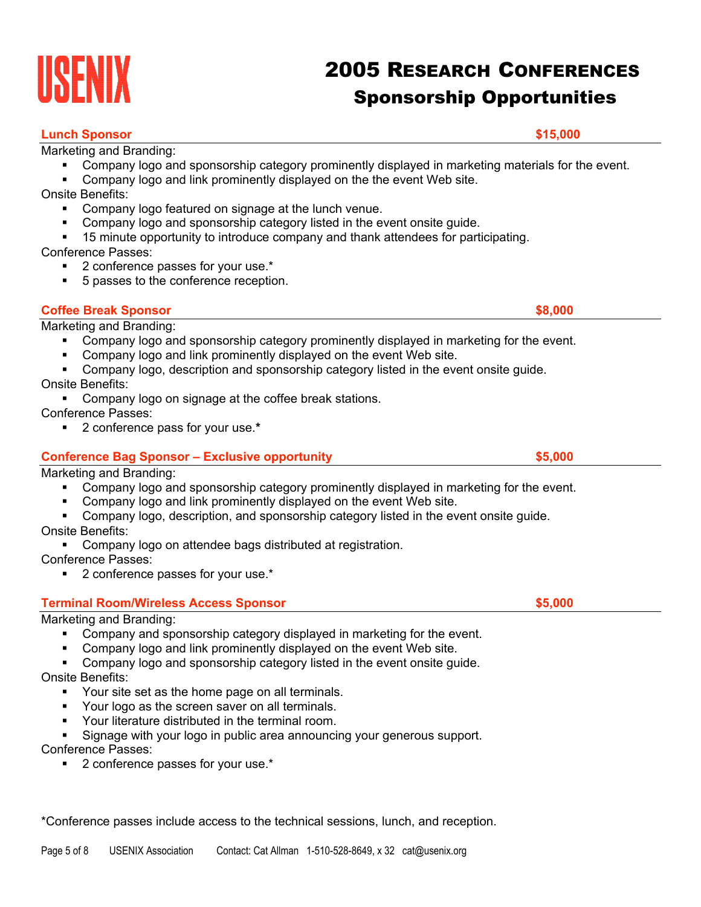# **Lunch Sponsor \$15,000**

Marketing and Branding:

- Company logo and sponsorship category prominently displayed in marketing materials for the event.
- **Company logo and link prominently displayed on the the event Web site.**
- Onsite Benefits:
	- **Company logo featured on signage at the lunch venue.**
	- Company logo and sponsorship category listed in the event onsite guide.
	- 15 minute opportunity to introduce company and thank attendees for participating.

Conference Passes:

- 2 conference passes for your use.<sup>\*</sup>
- 5 passes to the conference reception.

Marketing and Branding:

- Company logo and sponsorship category prominently displayed in marketing for the event.
- Company logo and link prominently displayed on the event Web site.
- Company logo, description and sponsorship category listed in the event onsite guide. Onsite Benefits:

**Coffee Break Sponsor \$8,000** 

**Company logo on signage at the coffee break stations.** 

Conference Passes:

2 conference pass for your use.**\***

# **Conference Bag Sponsor – Exclusive opportunity \$5,000**

Marketing and Branding:

- Company logo and sponsorship category prominently displayed in marketing for the event.
- Company logo and link prominently displayed on the event Web site.
- Company logo, description, and sponsorship category listed in the event onsite guide.

Onsite Benefits:

Company logo on attendee bags distributed at registration.

Conference Passes:

2 conference passes for your use.\*

# **Terminal Room/Wireless Access Sponsor \$5,000**

# Marketing and Branding:

- Company and sponsorship category displayed in marketing for the event.
- Company logo and link prominently displayed on the event Web site.
- **Company logo and sponsorship category listed in the event onsite guide.**

# Onsite Benefits:

- Your site set as the home page on all terminals.
- Your logo as the screen saver on all terminals.
- **Your literature distributed in the terminal room.**
- Signage with your logo in public area announcing your generous support.

Conference Passes:

■ 2 conference passes for your use.<sup>\*</sup>

\*Conference passes include access to the technical sessions, lunch, and reception.

Sponsorship Opportunities

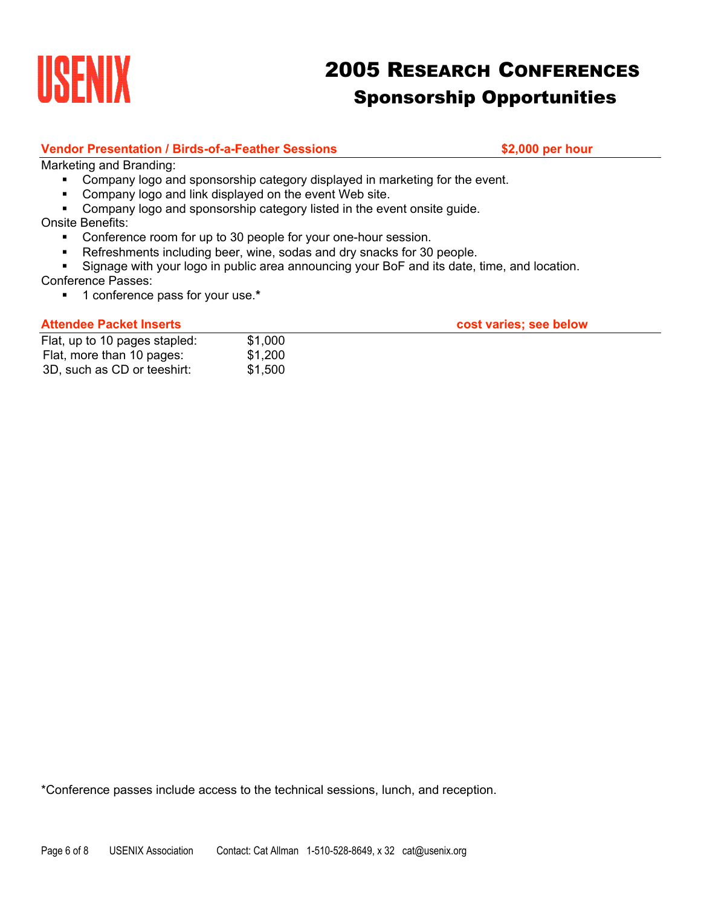

# **URENIX 2005 RESEARCH CONFERENCES** Sponsorship Opportunities

## **Vendor Presentation / Birds-of-a-Feather Sessions \$2,000 per hour**

Marketing and Branding:

- **Company logo and sponsorship category displayed in marketing for the event.**
- **Company logo and link displayed on the event Web site.**
- Company logo and sponsorship category listed in the event onsite guide.

## Onsite Benefits:

- Conference room for up to 30 people for your one-hour session.
- Refreshments including beer, wine, sodas and dry snacks for 30 people.
- Signage with your logo in public area announcing your BoF and its date, time, and location.

## Conference Passes:

1 conference pass for your use.**\***

### Attendee Packet Inserts **Attendee Packet Inserts cost varies; see below**

| Flat, up to 10 pages stapled: | \$1,000 |
|-------------------------------|---------|
| Flat, more than 10 pages:     | \$1,200 |
| 3D, such as CD or teeshirt:   | \$1,500 |

\*Conference passes include access to the technical sessions, lunch, and reception.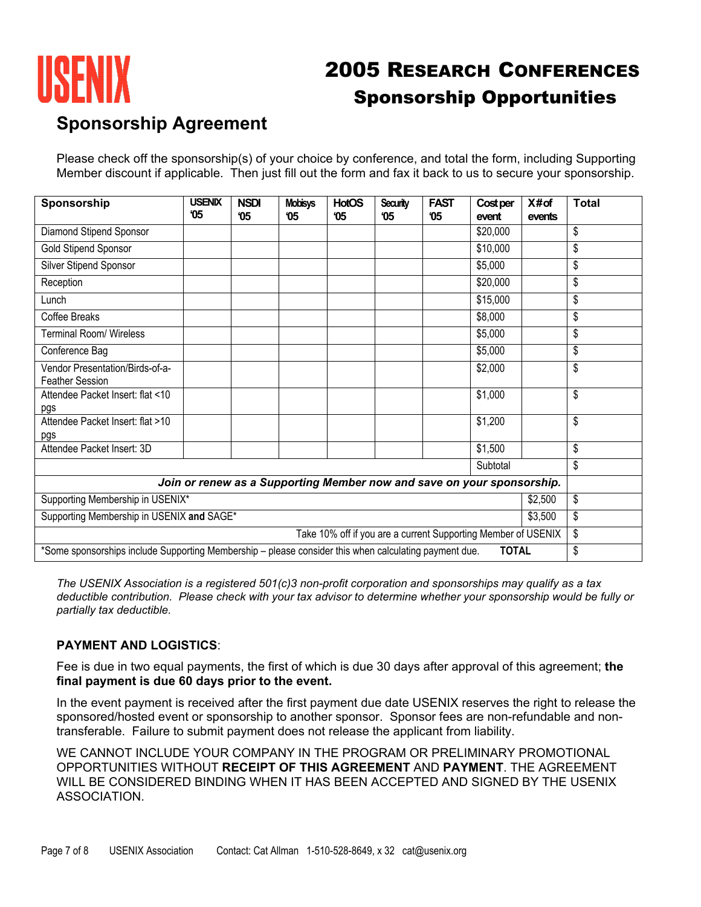

# UNENIX 2005 RESEARCH CONFERENCES Sponsorship Opportunities

# **Sponsorship Agreement**

Please check off the sponsorship(s) of your choice by conference, and total the form, including Supporting Member discount if applicable. Then just fill out the form and fax it back to us to secure your sponsorship.

| Sponsorship                                                                                                                 | <b>USENIX</b><br>'05 | <b>NSDI</b><br><b>'05</b> | <b>Mobisys</b><br>05 | <b>HotOS</b><br><b>'05</b> | Security<br>'05 | <b>FAST</b><br>05 | <b>Cost per</b><br>event                                               | X#of<br>events | <b>Total</b> |
|-----------------------------------------------------------------------------------------------------------------------------|----------------------|---------------------------|----------------------|----------------------------|-----------------|-------------------|------------------------------------------------------------------------|----------------|--------------|
| Diamond Stipend Sponsor                                                                                                     |                      |                           |                      |                            |                 |                   | \$20,000                                                               |                | \$           |
| <b>Gold Stipend Sponsor</b>                                                                                                 |                      |                           |                      |                            |                 |                   | \$10,000                                                               |                | \$           |
| Silver Stipend Sponsor                                                                                                      |                      |                           |                      |                            |                 |                   | \$5,000                                                                |                | \$           |
| Reception                                                                                                                   |                      |                           |                      |                            |                 |                   | \$20,000                                                               |                | \$           |
| Lunch                                                                                                                       |                      |                           |                      |                            |                 |                   | \$15,000                                                               |                | \$           |
| Coffee Breaks                                                                                                               |                      |                           |                      |                            |                 |                   | \$8,000                                                                |                | \$           |
| <b>Terminal Room/ Wireless</b>                                                                                              |                      |                           |                      |                            |                 |                   | \$5,000                                                                |                | \$           |
| Conference Bag                                                                                                              |                      |                           |                      |                            |                 |                   | \$5,000                                                                |                | \$           |
| Vendor Presentation/Birds-of-a-<br><b>Feather Session</b>                                                                   |                      |                           |                      |                            |                 |                   | \$2,000                                                                |                | \$           |
| Attendee Packet Insert: flat <10<br>pgs                                                                                     |                      |                           |                      |                            |                 |                   | \$1,000                                                                |                | \$           |
| Attendee Packet Insert: flat >10<br>pgs                                                                                     |                      |                           |                      |                            |                 |                   | \$1,200                                                                |                | \$           |
| Attendee Packet Insert: 3D                                                                                                  |                      |                           |                      |                            |                 |                   | \$1,500                                                                |                | \$           |
| Subtotal                                                                                                                    |                      |                           |                      |                            |                 | \$                |                                                                        |                |              |
|                                                                                                                             |                      |                           |                      |                            |                 |                   | Join or renew as a Supporting Member now and save on your sponsorship. |                |              |
| Supporting Membership in USENIX*                                                                                            |                      |                           |                      |                            |                 | \$2,500           | \$                                                                     |                |              |
| Supporting Membership in USENIX and SAGE*                                                                                   |                      |                           |                      |                            |                 | \$3,500           | \$                                                                     |                |              |
| Take 10% off if you are a current Supporting Member of USENIX                                                               |                      |                           |                      |                            |                 |                   | \$                                                                     |                |              |
| <b>TOTAL</b><br>\$<br>*Some sponsorships include Supporting Membership - please consider this when calculating payment due. |                      |                           |                      |                            |                 |                   |                                                                        |                |              |

*The USENIX Association is a registered 501(c)3 non-profit corporation and sponsorships may qualify as a tax deductible contribution. Please check with your tax advisor to determine whether your sponsorship would be fully or partially tax deductible.*

# **PAYMENT AND LOGISTICS**:

Fee is due in two equal payments, the first of which is due 30 days after approval of this agreement; **the final payment is due 60 days prior to the event.**

In the event payment is received after the first payment due date USENIX reserves the right to release the sponsored/hosted event or sponsorship to another sponsor. Sponsor fees are non-refundable and nontransferable. Failure to submit payment does not release the applicant from liability.

WE CANNOT INCLUDE YOUR COMPANY IN THE PROGRAM OR PRELIMINARY PROMOTIONAL OPPORTUNITIES WITHOUT **RECEIPT OF THIS AGREEMENT** AND **PAYMENT**. THE AGREEMENT WILL BE CONSIDERED BINDING WHEN IT HAS BEEN ACCEPTED AND SIGNED BY THE USENIX ASSOCIATION.